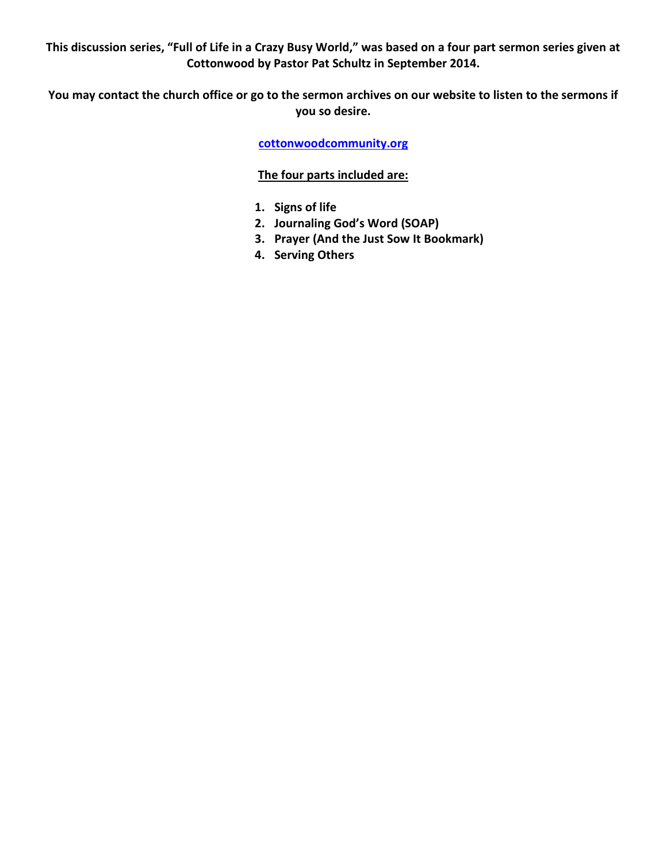**This discussion series, "Full of Life in a Crazy Busy World," was based on a four part sermon series given at Cottonwood by Pastor Pat Schultz in September 2014.**

**You may contact the church office or go to the sermon archives on our website to listen to the sermons if you so desire.** 

**cottonwoodcommunity.org**

## **The four parts included are:**

- **1. Signs of life**
- **2. Journaling God's Word (SOAP)**
- **3. Prayer (And the Just Sow It Bookmark)**
- **4. Serving Others**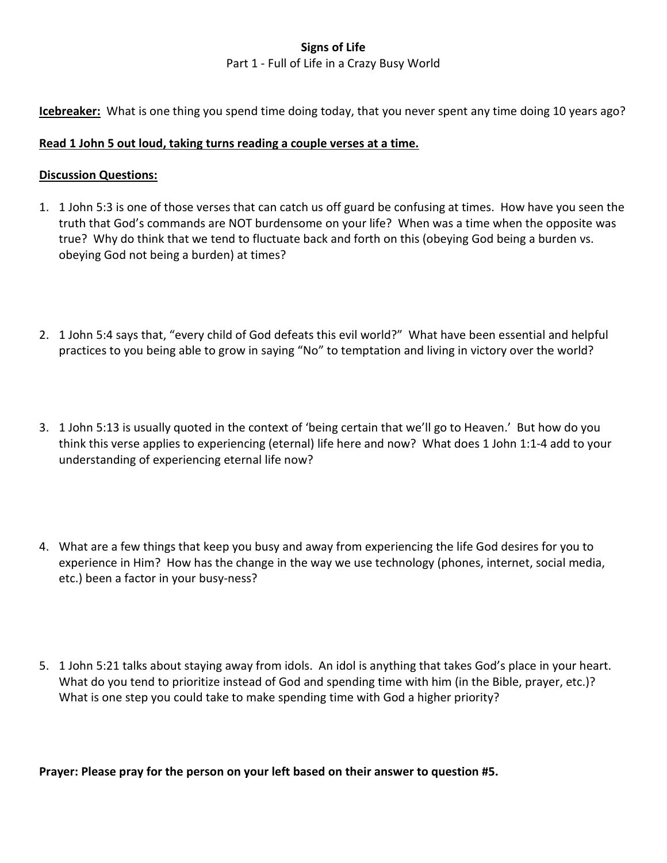# **Signs of Life**

#### Part 1 - Full of Life in a Crazy Busy World

**Icebreaker:** What is one thing you spend time doing today, that you never spent any time doing 10 years ago?

#### **Read 1 John 5 out loud, taking turns reading a couple verses at a time.**

#### **Discussion Questions:**

- 1. 1 John 5:3 is one of those verses that can catch us off guard be confusing at times. How have you seen the truth that God's commands are NOT burdensome on your life? When was a time when the opposite was true? Why do think that we tend to fluctuate back and forth on this (obeying God being a burden vs. obeying God not being a burden) at times?
- 2. 1 John 5:4 says that, "every child of God defeats this evil world?" What have been essential and helpful practices to you being able to grow in saying "No" to temptation and living in victory over the world?
- 3. 1 John 5:13 is usually quoted in the context of 'being certain that we'll go to Heaven.' But how do you think this verse applies to experiencing (eternal) life here and now? What does 1 John 1:1-4 add to your understanding of experiencing eternal life now?
- 4. What are a few things that keep you busy and away from experiencing the life God desires for you to experience in Him? How has the change in the way we use technology (phones, internet, social media, etc.) been a factor in your busy-ness?
- 5. 1 John 5:21 talks about staying away from idols. An idol is anything that takes God's place in your heart. What do you tend to prioritize instead of God and spending time with him (in the Bible, prayer, etc.)? What is one step you could take to make spending time with God a higher priority?

**Prayer: Please pray for the person on your left based on their answer to question #5.**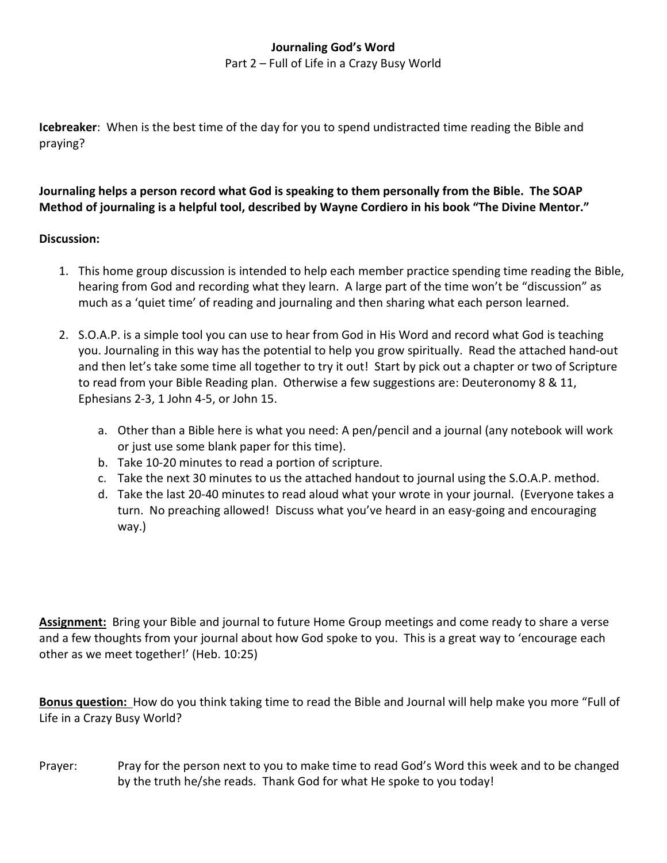## **Journaling God's Word**

Part 2 – Full of Life in a Crazy Busy World

**Icebreaker**: When is the best time of the day for you to spend undistracted time reading the Bible and praying?

# **Journaling helps a person record what God is speaking to them personally from the Bible. The SOAP Method of journaling is a helpful tool, described by Wayne Cordiero in his book "The Divine Mentor."**

## **Discussion:**

- 1. This home group discussion is intended to help each member practice spending time reading the Bible, hearing from God and recording what they learn. A large part of the time won't be "discussion" as much as a 'quiet time' of reading and journaling and then sharing what each person learned.
- 2. S.O.A.P. is a simple tool you can use to hear from God in His Word and record what God is teaching you. Journaling in this way has the potential to help you grow spiritually. Read the attached hand-out and then let's take some time all together to try it out! Start by pick out a chapter or two of Scripture to read from your Bible Reading plan. Otherwise a few suggestions are: Deuteronomy 8 & 11, Ephesians 2-3, 1 John 4-5, or John 15.
	- a. Other than a Bible here is what you need: A pen/pencil and a journal (any notebook will work or just use some blank paper for this time).
	- b. Take 10-20 minutes to read a portion of scripture.
	- c. Take the next 30 minutes to us the attached handout to journal using the S.O.A.P. method.
	- d. Take the last 20-40 minutes to read aloud what your wrote in your journal. (Everyone takes a turn. No preaching allowed! Discuss what you've heard in an easy-going and encouraging way.)

**Assignment:** Bring your Bible and journal to future Home Group meetings and come ready to share a verse and a few thoughts from your journal about how God spoke to you. This is a great way to 'encourage each other as we meet together!' (Heb. 10:25)

**Bonus question:** How do you think taking time to read the Bible and Journal will help make you more "Full of Life in a Crazy Busy World?

Prayer: Pray for the person next to you to make time to read God's Word this week and to be changed by the truth he/she reads. Thank God for what He spoke to you today!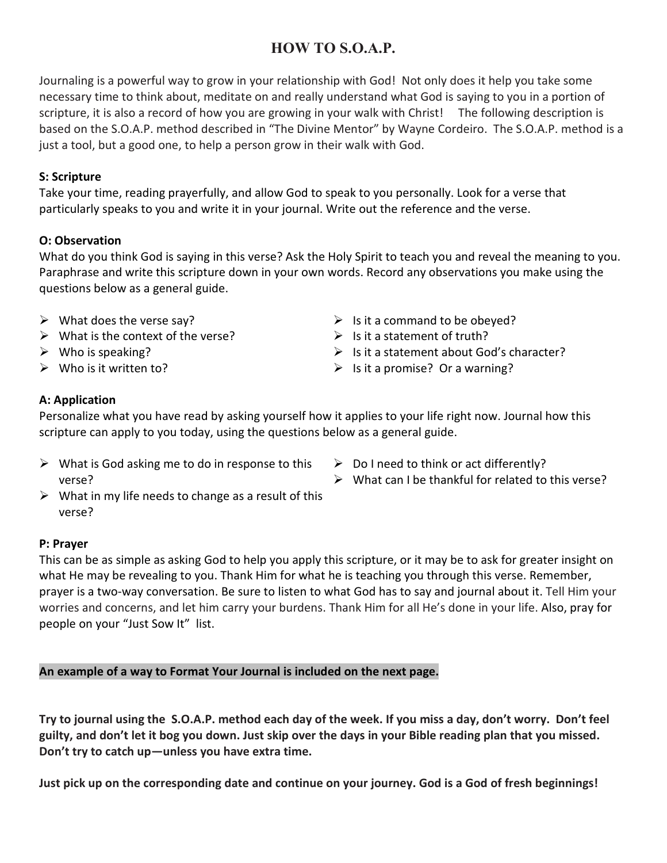# **HOW TO S.O.A.P.**

Journaling is a powerful way to grow in your relationship with God! Not only does it help you take some necessary time to think about, meditate on and really understand what God is saying to you in a portion of scripture, it is also a record of how you are growing in your walk with Christ! The following description is based on the S.O.A.P. method described in "The Divine Mentor" by Wayne Cordeiro. The S.O.A.P. method is a just a tool, but a good one, to help a person grow in their walk with God.

## **S: Scripture**

Take your time, reading prayerfully, and allow God to speak to you personally. Look for a verse that particularly speaks to you and write it in your journal. Write out the reference and the verse.

## **O: Observation**

What do you think God is saying in this verse? Ask the Holy Spirit to teach you and reveal the meaning to you. Paraphrase and write this scripture down in your own words. Record any observations you make using the questions below as a general guide.

- $\triangleright$  What does the verse say?
- $\triangleright$  What is the context of the verse?
- $\triangleright$  Who is speaking?
- $\triangleright$  Who is it written to?
- $\triangleright$  Is it a command to be obeyed?
- $\triangleright$  Is it a statement of truth?
- $\triangleright$  Is it a statement about God's character?
- $\triangleright$  Is it a promise? Or a warning?

# **A: Application**

Personalize what you have read by asking yourself how it applies to your life right now. Journal how this scripture can apply to you today, using the questions below as a general guide.

- $\triangleright$  What is God asking me to do in response to this verse?
- $\triangleright$  Do I need to think or act differently?
- $\triangleright$  What can I be thankful for related to this verse?
- $\triangleright$  What in my life needs to change as a result of this verse?

## **P: Prayer**

This can be as simple as asking God to help you apply this scripture, or it may be to ask for greater insight on what He may be revealing to you. Thank Him for what he is teaching you through this verse. Remember, prayer is a two-way conversation. Be sure to listen to what God has to say and journal about it. Tell Him your worries and concerns, and let him carry your burdens. Thank Him for all He's done in your life. Also, pray for people on your "Just Sow It" list.

# **An example of a way to Format Your Journal is included on the next page.**

**Try to journal using the S.O.A.P. method each day of the week. If you miss a day, don't worry. Don't feel guilty, and don't let it bog you down. Just skip over the days in your Bible reading plan that you missed. Don't try to catch up—unless you have extra time.** 

**Just pick up on the corresponding date and continue on your journey. God is a God of fresh beginnings!**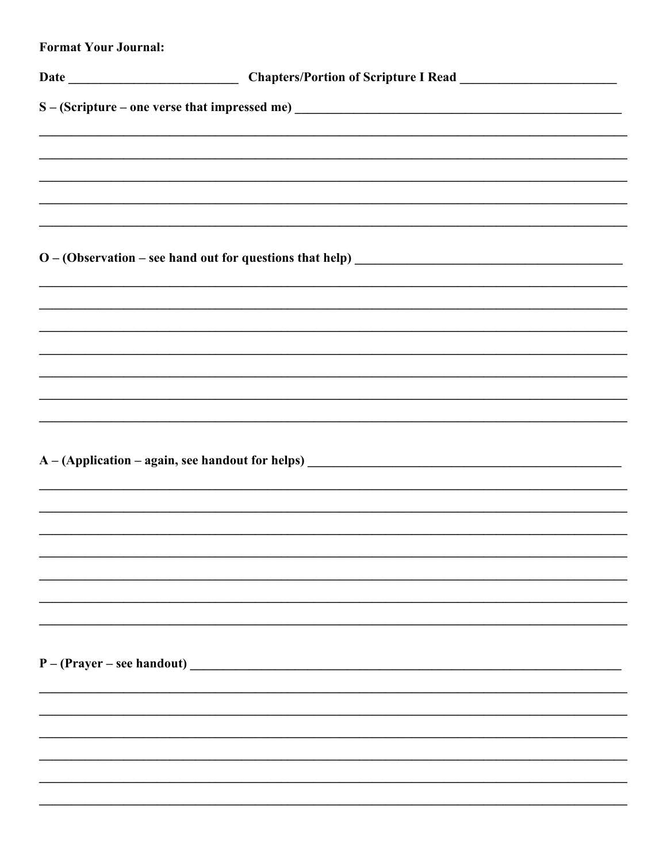| <b>Format Your Journal:</b> |                                                                                  |
|-----------------------------|----------------------------------------------------------------------------------|
|                             |                                                                                  |
|                             |                                                                                  |
|                             |                                                                                  |
|                             |                                                                                  |
|                             |                                                                                  |
|                             |                                                                                  |
|                             |                                                                                  |
|                             |                                                                                  |
|                             |                                                                                  |
|                             |                                                                                  |
|                             |                                                                                  |
|                             |                                                                                  |
|                             | ,我们也不会有什么?""我们的人,我们也不会有什么?""我们的人,我们也不会有什么?""我们的人,我们也不会有什么?""我们的人,我们也不会有什么?""我们的人 |
|                             |                                                                                  |
|                             |                                                                                  |
|                             |                                                                                  |
|                             |                                                                                  |
|                             |                                                                                  |
|                             |                                                                                  |
|                             |                                                                                  |
|                             |                                                                                  |
|                             |                                                                                  |
|                             |                                                                                  |
|                             | $P - (Prayer - see handout)$                                                     |
|                             |                                                                                  |
|                             |                                                                                  |
|                             |                                                                                  |
|                             |                                                                                  |
|                             |                                                                                  |
|                             |                                                                                  |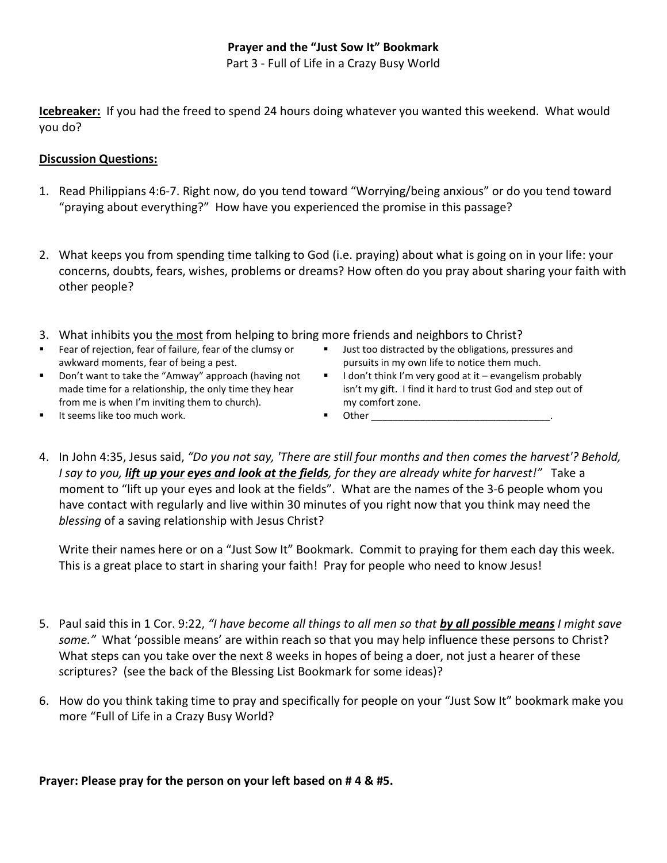## **Prayer and the "Just Sow It" Bookmark**

Part 3 - Full of Life in a Crazy Busy World

**Icebreaker:** If you had the freed to spend 24 hours doing whatever you wanted this weekend. What would you do?

#### **Discussion Questions:**

- 1. Read Philippians 4:6-7. Right now, do you tend toward "Worrying/being anxious" or do you tend toward "praying about everything?" How have you experienced the promise in this passage?
- 2. What keeps you from spending time talking to God (i.e. praying) about what is going on in your life: your concerns, doubts, fears, wishes, problems or dreams? How often do you pray about sharing your faith with other people?
- 3. What inhibits you the most from helping to bring more friends and neighbors to Christ?
- - Fear of rejection, fear of failure, fear of the clumsy or awkward moments, fear of being a pest.
- **ULACT 1** Just too distracted by the obligations, pressures and pursuits in my own life to notice them much.
- **•** Don't want to take the "Amway" approach (having not made time for a relationship, the only time they hear from me is when I'm inviting them to church).
- I don't think I'm very good at it evangelism probably isn't my gift. I find it hard to trust God and step out of my comfort zone.
- It seems like too much work.
	- $\blacksquare$  Other
- 4. In John 4:35, Jesus said, *"Do you not say, 'There are still four months and then comes the harvest'? Behold, I say to you, lift up your eyes and look at the fields, for they are already white for harvest!"* Take a moment to "lift up your eyes and look at the fields". What are the names of the 3-6 people whom you have contact with regularly and live within 30 minutes of you right now that you think may need the *blessing* of a saving relationship with Jesus Christ?

Write their names here or on a "Just Sow It" Bookmark. Commit to praying for them each day this week. This is a great place to start in sharing your faith! Pray for people who need to know Jesus!

- 5. Paul said this in 1 Cor. 9:22, *"I have become all things to all men so that by all possible means I might save some."* What 'possible means' are within reach so that you may help influence these persons to Christ? What steps can you take over the next 8 weeks in hopes of being a doer, not just a hearer of these scriptures? (see the back of the Blessing List Bookmark for some ideas)?
- 6. How do you think taking time to pray and specifically for people on your "Just Sow It" bookmark make you more "Full of Life in a Crazy Busy World?

**Prayer: Please pray for the person on your left based on # 4 & #5.**